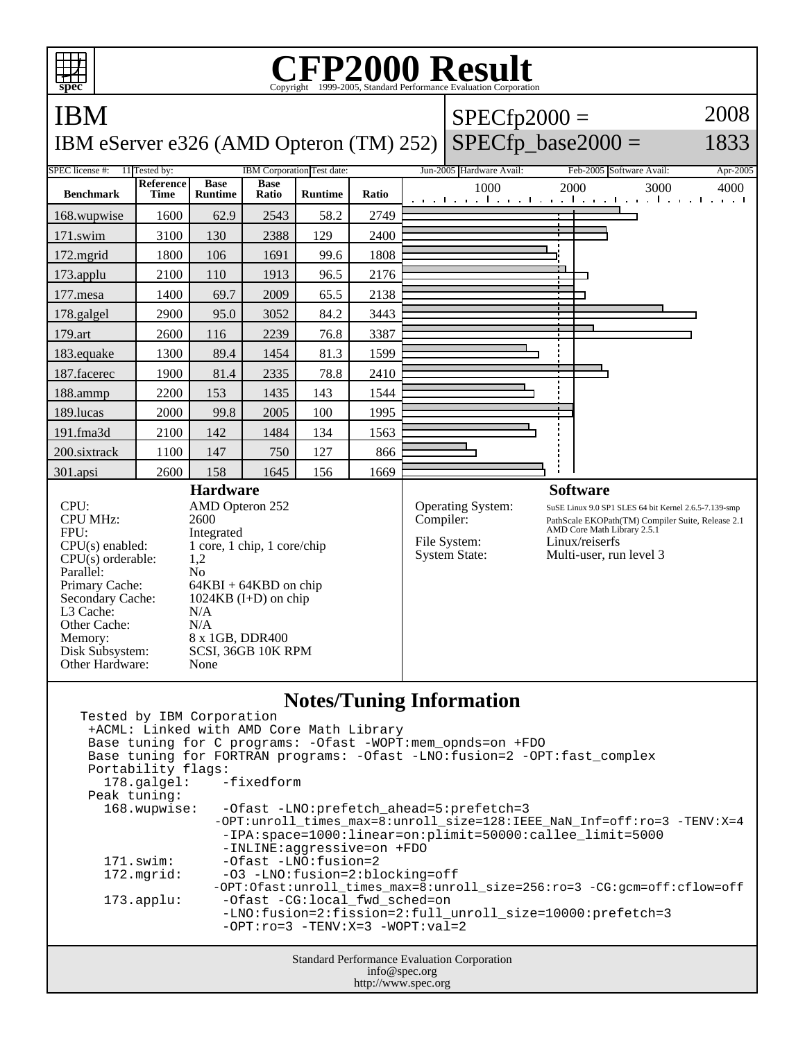

http://www.spec.org